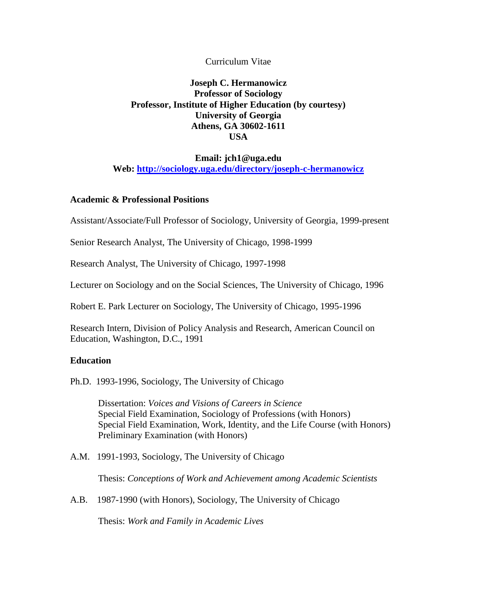# Curriculum Vitae

# **Joseph C. Hermanowicz Professor of Sociology Professor, Institute of Higher Education (by courtesy) University of Georgia Athens, GA 30602-1611 USA**

# **Email: jch1@uga.edu Web:<http://sociology.uga.edu/directory/joseph-c-hermanowicz>**

## **Academic & Professional Positions**

Assistant/Associate/Full Professor of Sociology, University of Georgia, 1999-present

Senior Research Analyst, The University of Chicago, 1998-1999

Research Analyst, The University of Chicago, 1997-1998

Lecturer on Sociology and on the Social Sciences, The University of Chicago, 1996

Robert E. Park Lecturer on Sociology, The University of Chicago, 1995-1996

Research Intern, Division of Policy Analysis and Research, American Council on Education, Washington, D.C., 1991

### **Education**

Ph.D. 1993-1996, Sociology, The University of Chicago

Dissertation: *Voices and Visions of Careers in Science* Special Field Examination, Sociology of Professions (with Honors) Special Field Examination, Work, Identity, and the Life Course (with Honors) Preliminary Examination (with Honors)

A.M. 1991-1993, Sociology, The University of Chicago

Thesis: *Conceptions of Work and Achievement among Academic Scientists*

A.B. 1987-1990 (with Honors), Sociology, The University of Chicago

Thesis: *Work and Family in Academic Lives*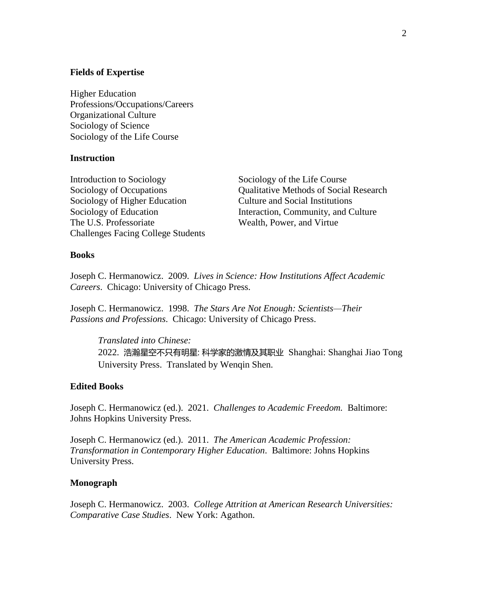#### **Fields of Expertise**

Higher Education Professions/Occupations/Careers Organizational Culture Sociology of Science Sociology of the Life Course

#### **Instruction**

Introduction to Sociology Sociology of the Life Course Sociology of Higher Education Culture and Social Institutions The U.S. Professoriate Wealth, Power, and Virtue Challenges Facing College Students

Sociology of Occupations Qualitative Methods of Social Research Sociology of Education Interaction, Community, and Culture

#### **Books**

Joseph C. Hermanowicz. 2009. *Lives in Science: How Institutions Affect Academic Careers*. Chicago: University of Chicago Press.

Joseph C. Hermanowicz. 1998. *The Stars Are Not Enough: Scientists—Their Passions and Professions*. Chicago: University of Chicago Press.

*Translated into Chinese:* 2022. 浩瀚星空不只有明星: 科学家的激情及其职业 Shanghai: Shanghai Jiao Tong University Press. Translated by Wenqin Shen.

#### **Edited Books**

Joseph C. Hermanowicz (ed.). 2021. *Challenges to Academic Freedom.* Baltimore: Johns Hopkins University Press.

Joseph C. Hermanowicz (ed.). 2011. *The American Academic Profession: Transformation in Contemporary Higher Education*. Baltimore: Johns Hopkins University Press.

## **Monograph**

Joseph C. Hermanowicz. 2003. *College Attrition at American Research Universities: Comparative Case Studies*.New York: Agathon.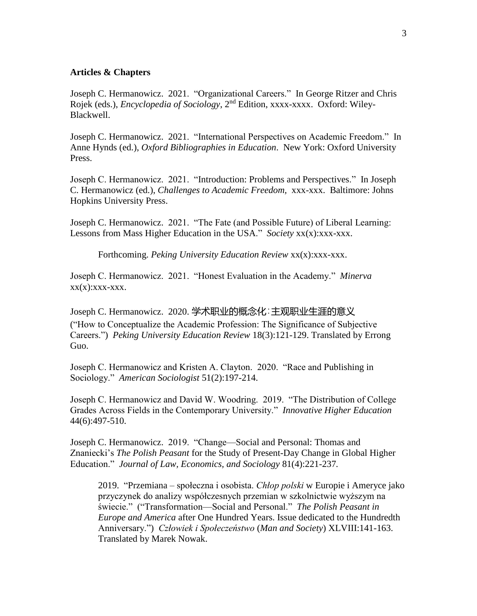## **Articles & Chapters**

Joseph C. Hermanowicz. 2021. "Organizational Careers." In George Ritzer and Chris Rojek (eds.), *Encyclopedia of Sociology*, 2<sup>nd</sup> Edition, xxxx-xxxx. Oxford: Wiley-Blackwell.

Joseph C. Hermanowicz. 2021. "International Perspectives on Academic Freedom." In Anne Hynds (ed.), *Oxford Bibliographies in Education*. New York: Oxford University Press.

Joseph C. Hermanowicz. 2021. "Introduction: Problems and Perspectives." In Joseph C. Hermanowicz (ed.), *Challenges to Academic Freedom,* xxx-xxx. Baltimore: Johns Hopkins University Press.

Joseph C. Hermanowicz. 2021. "The Fate (and Possible Future) of Liberal Learning: Lessons from Mass Higher Education in the USA." *Society* xx(x):xxx-xxx.

Forthcoming. *Peking University Education Review* xx(x):xxx-xxx.

Joseph C. Hermanowicz. 2021. "Honest Evaluation in the Academy." *Minerva*  $XX(X):$  $XXX-XXX$ .

Joseph C. Hermanowicz. 2020. 学术职业的概念化:主观职业生涯的意义 ("How to Conceptualize the Academic Profession: The Significance of Subjective Careers.") *Peking University Education Review* 18(3):121-129. Translated by Errong Guo.

Joseph C. Hermanowicz and Kristen A. Clayton. 2020. "Race and Publishing in Sociology." *American Sociologist* 51(2):197-214.

Joseph C. Hermanowicz and David W. Woodring. 2019. "The Distribution of College Grades Across Fields in the Contemporary University." *Innovative Higher Education* 44(6):497-510.

Joseph C. Hermanowicz. 2019. "Change—Social and Personal: Thomas and Znaniecki's *The Polish Peasant* for the Study of Present-Day Change in Global Higher Education." *Journal of Law, Economics, and Sociology* 81(4):221-237*.*

2019. "Przemiana – społeczna i osobista. *Chłop polski* w Europie i Ameryce jako przyczynek do analizy współczesnych przemian w szkolnictwie wyższym na świecie." ("Transformation—Social and Personal." *The Polish Peasant in Europe and America* after One Hundred Years. Issue dedicated to the Hundredth Anniversary.") *Człowiek i Społeczeństwo* (*Man and Society*) XLVIII:141-163. Translated by Marek Nowak.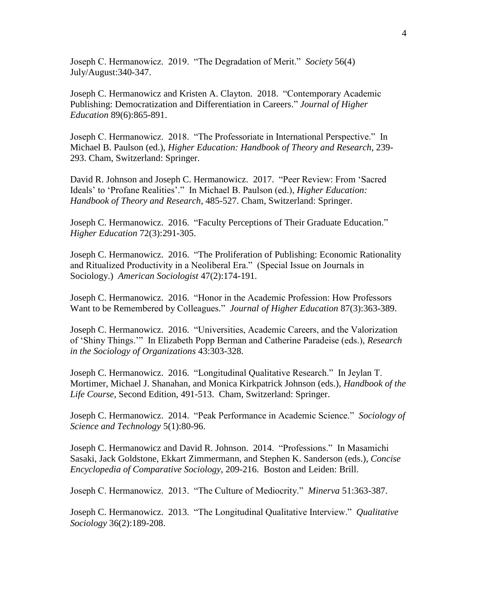Joseph C. Hermanowicz. 2019. "The Degradation of Merit." *Society* 56(4) July/August:340-347.

Joseph C. Hermanowicz and Kristen A. Clayton. 2018. "Contemporary Academic Publishing: Democratization and Differentiation in Careers." *Journal of Higher Education* 89(6):865-891.

Joseph C. Hermanowicz. 2018. "The Professoriate in International Perspective." In Michael B. Paulson (ed.), *Higher Education: Handbook of Theory and Research*, 239- 293. Cham, Switzerland: Springer.

David R. Johnson and Joseph C. Hermanowicz. 2017. "Peer Review: From 'Sacred Ideals' to 'Profane Realities'." In Michael B. Paulson (ed.), *Higher Education: Handbook of Theory and Research*, 485-527. Cham, Switzerland: Springer.

Joseph C. Hermanowicz. 2016. "Faculty Perceptions of Their Graduate Education." *Higher Education* 72(3):291-305.

Joseph C. Hermanowicz. 2016. "The Proliferation of Publishing: Economic Rationality and Ritualized Productivity in a Neoliberal Era." (Special Issue on Journals in Sociology.) *American Sociologist* 47(2):174-191.

Joseph C. Hermanowicz. 2016. "Honor in the Academic Profession: How Professors Want to be Remembered by Colleagues." *Journal of Higher Education* 87(3):363-389.

Joseph C. Hermanowicz. 2016. "Universities, Academic Careers, and the Valorization of 'Shiny Things.'" In Elizabeth Popp Berman and Catherine Paradeise (eds.), *Research in the Sociology of Organizations* 43:303-328.

Joseph C. Hermanowicz. 2016. "Longitudinal Qualitative Research." In Jeylan T. Mortimer, Michael J. Shanahan, and Monica Kirkpatrick Johnson (eds.), *Handbook of the Life Course*, Second Edition, 491-513. Cham, Switzerland: Springer.

Joseph C. Hermanowicz. 2014. "Peak Performance in Academic Science." *Sociology of Science and Technology* 5(1):80-96.

Joseph C. Hermanowicz and David R. Johnson. 2014. "Professions." In Masamichi Sasaki, Jack Goldstone, Ekkart Zimmermann, and Stephen K. Sanderson (eds.), *Concise Encyclopedia of Comparative Sociology*, 209-216. Boston and Leiden: Brill.

Joseph C. Hermanowicz. 2013. "The Culture of Mediocrity." *Minerva* 51:363-387.

Joseph C. Hermanowicz. 2013. "The Longitudinal Qualitative Interview." *Qualitative Sociology* 36(2):189-208.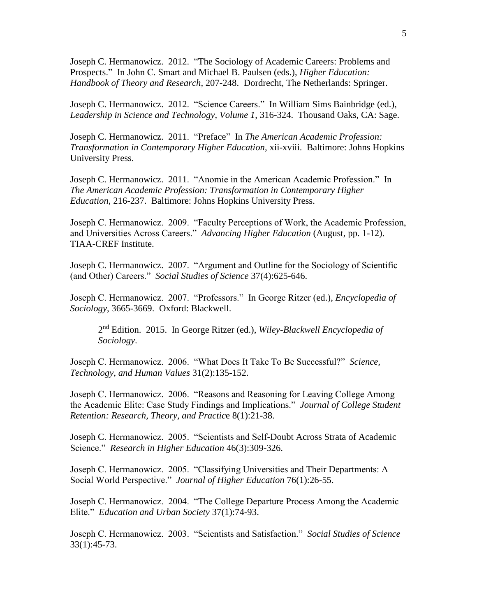Joseph C. Hermanowicz. 2012. "The Sociology of Academic Careers: Problems and Prospects." In John C. Smart and Michael B. Paulsen (eds.), *Higher Education: Handbook of Theory and Research*, 207-248. Dordrecht, The Netherlands: Springer.

Joseph C. Hermanowicz. 2012. "Science Careers." In William Sims Bainbridge (ed.), *Leadership in Science and Technology*, *Volume 1*, 316-324. Thousand Oaks, CA: Sage.

Joseph C. Hermanowicz. 2011. "Preface" In *The American Academic Profession: Transformation in Contemporary Higher Education*, xii-xviii. Baltimore: Johns Hopkins University Press.

Joseph C. Hermanowicz. 2011. "Anomie in the American Academic Profession." In *The American Academic Profession: Transformation in Contemporary Higher Education*, 216-237. Baltimore: Johns Hopkins University Press.

Joseph C. Hermanowicz. 2009. "Faculty Perceptions of Work, the Academic Profession, and Universities Across Careers." *Advancing Higher Education* (August, pp. 1-12). TIAA-CREF Institute.

Joseph C. Hermanowicz. 2007. "Argument and Outline for the Sociology of Scientific (and Other) Careers." *Social Studies of Science* 37(4):625-646.

Joseph C. Hermanowicz. 2007. "Professors." In George Ritzer (ed.), *Encyclopedia of Sociology*, 3665-3669. Oxford: Blackwell.

2 nd Edition. 2015. In George Ritzer (ed.), *Wiley-Blackwell Encyclopedia of Sociology*.

Joseph C. Hermanowicz. 2006. "What Does It Take To Be Successful?" *Science, Technology, and Human Values* 31(2):135-152.

Joseph C. Hermanowicz. 2006. "Reasons and Reasoning for Leaving College Among the Academic Elite: Case Study Findings and Implications." *Journal of College Student Retention: Research, Theory, and Practic*e 8(1):21-38.

Joseph C. Hermanowicz. 2005. "Scientists and Self-Doubt Across Strata of Academic Science." *Research in Higher Education* 46(3):309-326.

Joseph C. Hermanowicz. 2005. "Classifying Universities and Their Departments: A Social World Perspective." *Journal of Higher Education* 76(1):26-55.

Joseph C. Hermanowicz. 2004. "The College Departure Process Among the Academic Elite." *Education and Urban Society* 37(1):74-93.

Joseph C. Hermanowicz. 2003. "Scientists and Satisfaction." *Social Studies of Science* 33(1):45-73.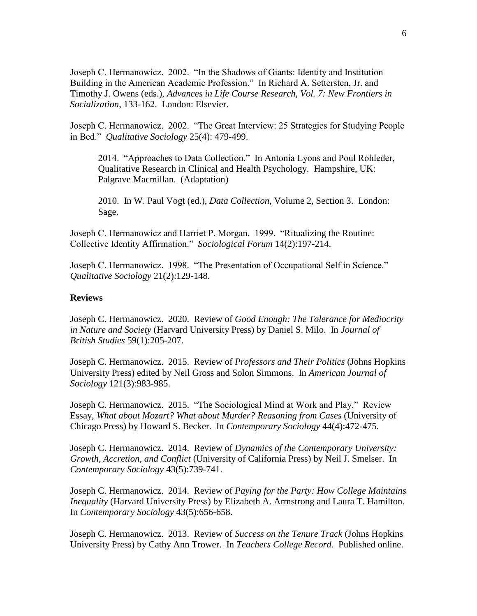Joseph C. Hermanowicz. 2002. "In the Shadows of Giants: Identity and Institution Building in the American Academic Profession." In Richard A. Settersten, Jr. and Timothy J. Owens (eds.), *Advances in Life Course Research*, *Vol. 7: New Frontiers in Socialization*, 133-162. London: Elsevier.

Joseph C. Hermanowicz. 2002. "The Great Interview: 25 Strategies for Studying People in Bed." *Qualitative Sociology* 25(4): 479-499.

2014. "Approaches to Data Collection." In Antonia Lyons and Poul Rohleder, Qualitative Research in Clinical and Health Psychology. Hampshire, UK: Palgrave Macmillan. (Adaptation)

2010. In W. Paul Vogt (ed.), *Data Collection*, Volume 2, Section 3. London: Sage.

Joseph C. Hermanowicz and Harriet P. Morgan. 1999. "Ritualizing the Routine: Collective Identity Affirmation." *Sociological Forum* 14(2):197-214.

Joseph C. Hermanowicz. 1998. "The Presentation of Occupational Self in Science." *Qualitative Sociology* 21(2):129-148.

#### **Reviews**

Joseph C. Hermanowicz. 2020. Review of *Good Enough: The Tolerance for Mediocrity in Nature and Society* (Harvard University Press) by Daniel S. Milo. In *Journal of British Studies* 59(1):205-207.

Joseph C. Hermanowicz. 2015. Review of *Professors and Their Politics* (Johns Hopkins University Press) edited by Neil Gross and Solon Simmons. In *American Journal of Sociology* 121(3):983-985.

Joseph C. Hermanowicz. 2015. "The Sociological Mind at Work and Play." Review Essay, *What about Mozart? What about Murder? Reasoning from Cases* (University of Chicago Press) by Howard S. Becker. In *Contemporary Sociology* 44(4):472-475.

Joseph C. Hermanowicz. 2014. Review of *Dynamics of the Contemporary University: Growth, Accretion, and Conflict* (University of California Press) by Neil J. Smelser. In *Contemporary Sociology* 43(5):739-741.

Joseph C. Hermanowicz. 2014. Review of *Paying for the Party: How College Maintains Inequality* (Harvard University Press) by Elizabeth A. Armstrong and Laura T. Hamilton. In *Contemporary Sociology* 43(5):656-658.

Joseph C. Hermanowicz. 2013. Review of *Success on the Tenure Track* (Johns Hopkins University Press) by Cathy Ann Trower. In *Teachers College Record*. Published online.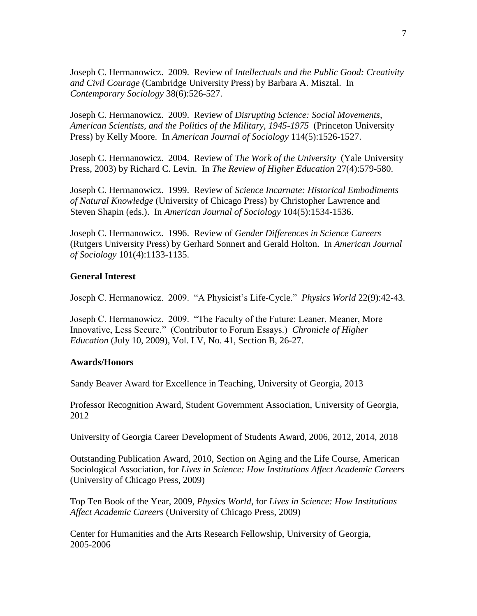Joseph C. Hermanowicz. 2009. Review of *Intellectuals and the Public Good: Creativity and Civil Courage* (Cambridge University Press) by Barbara A. Misztal. In *Contemporary Sociology* 38(6):526-527.

Joseph C. Hermanowicz. 2009. Review of *Disrupting Science: Social Movements, American Scientists, and the Politics of the Military, 1945-1975* (Princeton University Press) by Kelly Moore. In *American Journal of Sociology* 114(5):1526-1527.

Joseph C. Hermanowicz. 2004. Review of *The Work of the University* (Yale University Press, 2003) by Richard C. Levin. In *The Review of Higher Education* 27(4):579-580.

Joseph C. Hermanowicz. 1999. Review of *Science Incarnate: Historical Embodiments of Natural Knowledge* (University of Chicago Press) by Christopher Lawrence and Steven Shapin (eds.). In *American Journal of Sociology* 104(5):1534-1536.

Joseph C. Hermanowicz. 1996. Review of *Gender Differences in Science Careers* (Rutgers University Press) by Gerhard Sonnert and Gerald Holton. In *American Journal of Sociology* 101(4):1133-1135.

# **General Interest**

Joseph C. Hermanowicz. 2009. "A Physicist's Life-Cycle." *Physics World* 22(9):42-43.

Joseph C. Hermanowicz. 2009. "The Faculty of the Future: Leaner, Meaner, More Innovative, Less Secure." (Contributor to Forum Essays.) *Chronicle of Higher Education* (July 10, 2009), Vol. LV, No. 41, Section B, 26-27.

### **Awards/Honors**

Sandy Beaver Award for Excellence in Teaching, University of Georgia, 2013

Professor Recognition Award, Student Government Association, University of Georgia, 2012

University of Georgia Career Development of Students Award, 2006, 2012, 2014, 2018

Outstanding Publication Award, 2010, Section on Aging and the Life Course, American Sociological Association, for *Lives in Science: How Institutions Affect Academic Careers* (University of Chicago Press, 2009)

Top Ten Book of the Year, 2009, *Physics World*, for *Lives in Science: How Institutions Affect Academic Careers* (University of Chicago Press, 2009)

Center for Humanities and the Arts Research Fellowship, University of Georgia, 2005-2006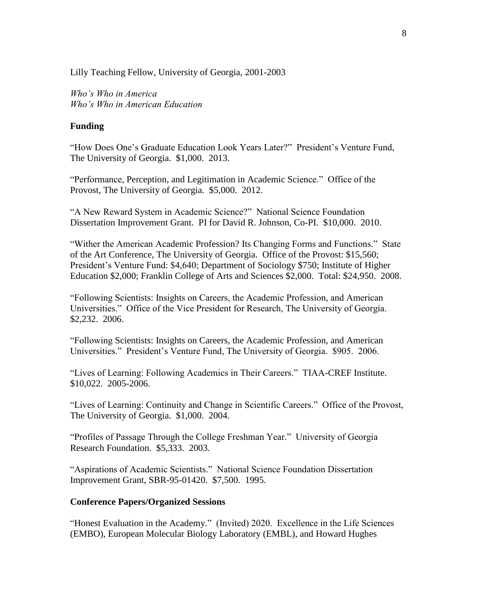Lilly Teaching Fellow, University of Georgia, 2001-2003

*Who's Who in America Who's Who in American Education*

# **Funding**

"How Does One's Graduate Education Look Years Later?" President's Venture Fund, The University of Georgia. \$1,000. 2013.

"Performance, Perception, and Legitimation in Academic Science." Office of the Provost, The University of Georgia. \$5,000. 2012.

"A New Reward System in Academic Science?" National Science Foundation Dissertation Improvement Grant. PI for David R. Johnson, Co-PI. \$10,000. 2010.

"Wither the American Academic Profession? Its Changing Forms and Functions." State of the Art Conference, The University of Georgia. Office of the Provost: \$15,560; President's Venture Fund: \$4,640; Department of Sociology \$750; Institute of Higher Education \$2,000; Franklin College of Arts and Sciences \$2,000. Total: \$24,950. 2008.

"Following Scientists: Insights on Careers, the Academic Profession, and American Universities." Office of the Vice President for Research, The University of Georgia. \$2,232. 2006.

"Following Scientists: Insights on Careers, the Academic Profession, and American Universities." President's Venture Fund, The University of Georgia. \$905. 2006.

"Lives of Learning: Following Academics in Their Careers." TIAA-CREF Institute. \$10,022. 2005-2006.

"Lives of Learning: Continuity and Change in Scientific Careers." Office of the Provost, The University of Georgia. \$1,000. 2004.

"Profiles of Passage Through the College Freshman Year." University of Georgia Research Foundation. \$5,333. 2003.

"Aspirations of Academic Scientists." National Science Foundation Dissertation Improvement Grant, SBR-95-01420. \$7,500. 1995.

### **Conference Papers/Organized Sessions**

"Honest Evaluation in the Academy." (Invited) 2020. Excellence in the Life Sciences (EMBO), European Molecular Biology Laboratory (EMBL), and Howard Hughes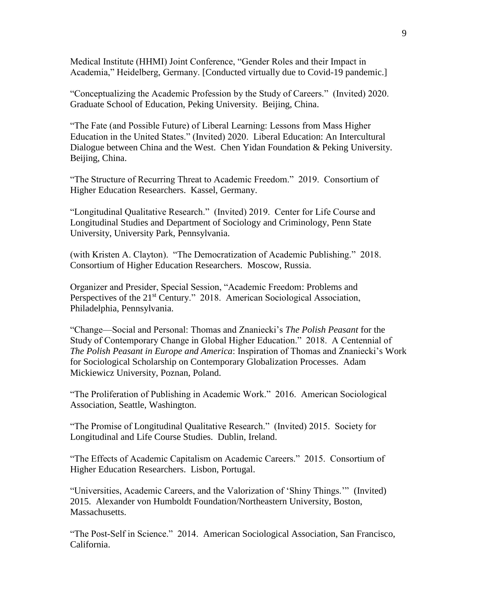Medical Institute (HHMI) Joint Conference, "Gender Roles and their Impact in Academia," Heidelberg, Germany. [Conducted virtually due to Covid-19 pandemic.]

"Conceptualizing the Academic Profession by the Study of Careers." (Invited) 2020. Graduate School of Education, Peking University. Beijing, China.

"The Fate (and Possible Future) of Liberal Learning: Lessons from Mass Higher Education in the United States." (Invited) 2020. Liberal Education: An Intercultural Dialogue between China and the West. Chen Yidan Foundation & Peking University. Beijing, China.

"The Structure of Recurring Threat to Academic Freedom." 2019. Consortium of Higher Education Researchers. Kassel, Germany.

"Longitudinal Qualitative Research." (Invited) 2019. Center for Life Course and Longitudinal Studies and Department of Sociology and Criminology, Penn State University, University Park, Pennsylvania.

(with Kristen A. Clayton). "The Democratization of Academic Publishing." 2018. Consortium of Higher Education Researchers. Moscow, Russia.

Organizer and Presider, Special Session, "Academic Freedom: Problems and Perspectives of the 21<sup>st</sup> Century." 2018. American Sociological Association, Philadelphia, Pennsylvania.

"Change—Social and Personal: Thomas and Znaniecki's *The Polish Peasant* for the Study of Contemporary Change in Global Higher Education." 2018. A Centennial of *The Polish Peasant in Europe and America*: Inspiration of Thomas and Znaniecki's Work for Sociological Scholarship on Contemporary Globalization Processes. Adam Mickiewicz University, Poznan, Poland.

"The Proliferation of Publishing in Academic Work." 2016. American Sociological Association, Seattle, Washington.

"The Promise of Longitudinal Qualitative Research." (Invited) 2015. Society for Longitudinal and Life Course Studies. Dublin, Ireland.

"The Effects of Academic Capitalism on Academic Careers." 2015. Consortium of Higher Education Researchers. Lisbon, Portugal.

"Universities, Academic Careers, and the Valorization of 'Shiny Things.'" (Invited) 2015. Alexander von Humboldt Foundation/Northeastern University, Boston, Massachusetts.

"The Post-Self in Science." 2014. American Sociological Association, San Francisco, California.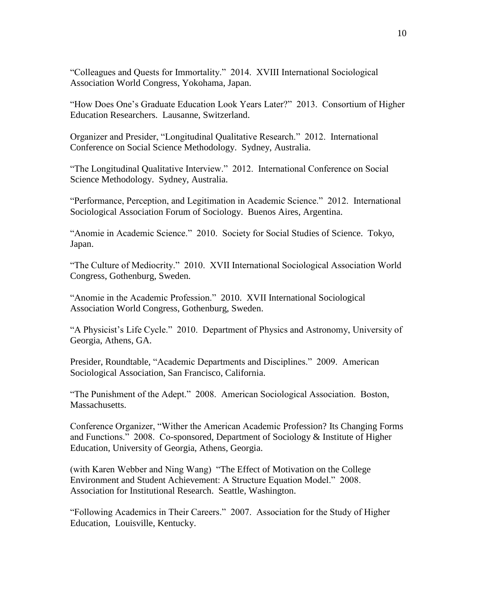"Colleagues and Quests for Immortality." 2014. XVIII International Sociological Association World Congress, Yokohama, Japan.

"How Does One's Graduate Education Look Years Later?" 2013. Consortium of Higher Education Researchers. Lausanne, Switzerland.

Organizer and Presider, "Longitudinal Qualitative Research." 2012. International Conference on Social Science Methodology. Sydney, Australia.

"The Longitudinal Qualitative Interview." 2012. International Conference on Social Science Methodology. Sydney, Australia.

"Performance, Perception, and Legitimation in Academic Science." 2012. International Sociological Association Forum of Sociology. Buenos Aires, Argentina.

"Anomie in Academic Science." 2010. Society for Social Studies of Science. Tokyo, Japan.

"The Culture of Mediocrity." 2010. XVII International Sociological Association World Congress, Gothenburg, Sweden.

"Anomie in the Academic Profession." 2010. XVII International Sociological Association World Congress, Gothenburg, Sweden.

"A Physicist's Life Cycle." 2010. Department of Physics and Astronomy, University of Georgia, Athens, GA.

Presider, Roundtable, "Academic Departments and Disciplines." 2009. American Sociological Association, San Francisco, California.

"The Punishment of the Adept." 2008. American Sociological Association. Boston, Massachusetts.

Conference Organizer, "Wither the American Academic Profession? Its Changing Forms and Functions." 2008. Co-sponsored, Department of Sociology & Institute of Higher Education, University of Georgia, Athens, Georgia.

(with Karen Webber and Ning Wang) "The Effect of Motivation on the College Environment and Student Achievement: A Structure Equation Model." 2008. Association for Institutional Research. Seattle, Washington.

"Following Academics in Their Careers." 2007. Association for the Study of Higher Education, Louisville, Kentucky.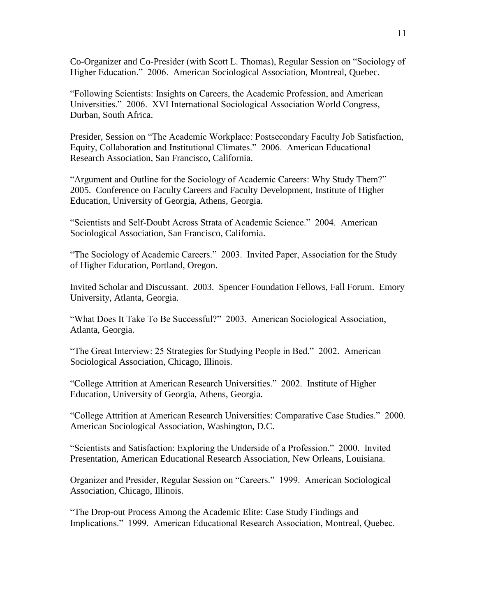Co-Organizer and Co-Presider (with Scott L. Thomas), Regular Session on "Sociology of Higher Education." 2006. American Sociological Association, Montreal, Quebec.

"Following Scientists: Insights on Careers, the Academic Profession, and American Universities." 2006. XVI International Sociological Association World Congress, Durban, South Africa.

Presider, Session on "The Academic Workplace: Postsecondary Faculty Job Satisfaction, Equity, Collaboration and Institutional Climates." 2006. American Educational Research Association, San Francisco, California.

"Argument and Outline for the Sociology of Academic Careers: Why Study Them?" 2005. Conference on Faculty Careers and Faculty Development, Institute of Higher Education, University of Georgia, Athens, Georgia.

"Scientists and Self-Doubt Across Strata of Academic Science." 2004. American Sociological Association, San Francisco, California.

"The Sociology of Academic Careers." 2003. Invited Paper, Association for the Study of Higher Education, Portland, Oregon.

Invited Scholar and Discussant. 2003. Spencer Foundation Fellows, Fall Forum. Emory University, Atlanta, Georgia.

"What Does It Take To Be Successful?" 2003. American Sociological Association, Atlanta, Georgia.

"The Great Interview: 25 Strategies for Studying People in Bed." 2002. American Sociological Association, Chicago, Illinois.

"College Attrition at American Research Universities." 2002. Institute of Higher Education, University of Georgia, Athens, Georgia.

"College Attrition at American Research Universities: Comparative Case Studies." 2000. American Sociological Association, Washington, D.C.

"Scientists and Satisfaction: Exploring the Underside of a Profession." 2000. Invited Presentation, American Educational Research Association, New Orleans, Louisiana.

Organizer and Presider, Regular Session on "Careers." 1999. American Sociological Association, Chicago, Illinois.

"The Drop-out Process Among the Academic Elite: Case Study Findings and Implications." 1999. American Educational Research Association, Montreal, Quebec.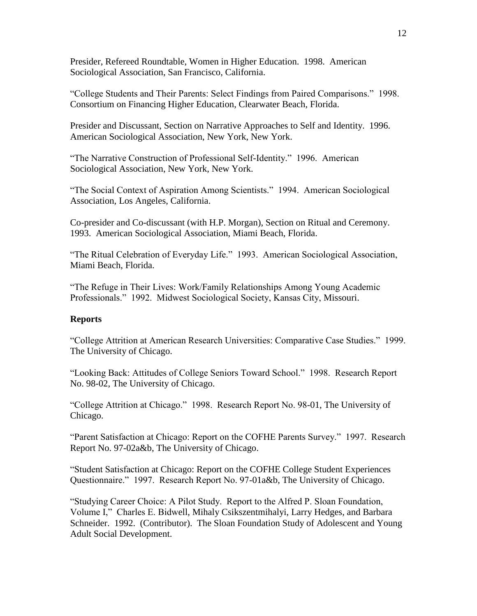Presider, Refereed Roundtable, Women in Higher Education. 1998. American Sociological Association, San Francisco, California.

"College Students and Their Parents: Select Findings from Paired Comparisons." 1998. Consortium on Financing Higher Education, Clearwater Beach, Florida.

Presider and Discussant, Section on Narrative Approaches to Self and Identity. 1996. American Sociological Association, New York, New York.

"The Narrative Construction of Professional Self-Identity." 1996. American Sociological Association, New York, New York.

"The Social Context of Aspiration Among Scientists." 1994. American Sociological Association, Los Angeles, California.

Co-presider and Co-discussant (with H.P. Morgan), Section on Ritual and Ceremony. 1993. American Sociological Association, Miami Beach, Florida.

"The Ritual Celebration of Everyday Life." 1993. American Sociological Association, Miami Beach, Florida.

"The Refuge in Their Lives: Work/Family Relationships Among Young Academic Professionals." 1992. Midwest Sociological Society, Kansas City, Missouri.

### **Reports**

"College Attrition at American Research Universities: Comparative Case Studies." 1999. The University of Chicago.

"Looking Back: Attitudes of College Seniors Toward School." 1998. Research Report No. 98-02, The University of Chicago.

"College Attrition at Chicago." 1998. Research Report No. 98-01, The University of Chicago.

"Parent Satisfaction at Chicago: Report on the COFHE Parents Survey." 1997. Research Report No. 97-02a&b, The University of Chicago.

"Student Satisfaction at Chicago: Report on the COFHE College Student Experiences Questionnaire." 1997. Research Report No. 97-01a&b, The University of Chicago.

"Studying Career Choice: A Pilot Study. Report to the Alfred P. Sloan Foundation, Volume I," Charles E. Bidwell, Mihaly Csikszentmihalyi, Larry Hedges, and Barbara Schneider. 1992. (Contributor). The Sloan Foundation Study of Adolescent and Young Adult Social Development.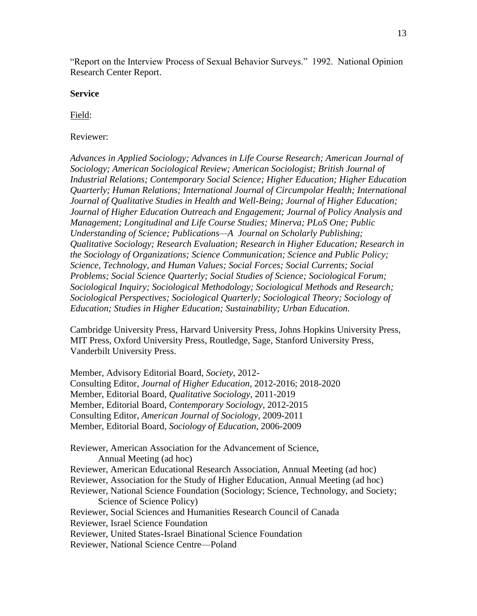"Report on the Interview Process of Sexual Behavior Surveys." 1992. National Opinion Research Center Report.

### **Service**

Field:

# Reviewer:

*Advances in Applied Sociology; Advances in Life Course Research; American Journal of Sociology; American Sociological Review; American Sociologist; British Journal of Industrial Relations; Contemporary Social Science; Higher Education; Higher Education Quarterly; Human Relations; International Journal of Circumpolar Health; International Journal of Qualitative Studies in Health and Well-Being; Journal of Higher Education; Journal of Higher Education Outreach and Engagement; Journal of Policy Analysis and Management; Longitudinal and Life Course Studies; Minerva; PLoS One; Public Understanding of Science; Publications—A Journal on Scholarly Publishing; Qualitative Sociology; Research Evaluation; Research in Higher Education; Research in the Sociology of Organizations; Science Communication; Science and Public Policy; Science, Technology, and Human Values; Social Forces; Social Currents; Social Problems; Social Science Quarterly; Social Studies of Science; Sociological Forum; Sociological Inquiry; Sociological Methodology; Sociological Methods and Research; Sociological Perspectives; Sociological Quarterly; Sociological Theory; Sociology of Education; Studies in Higher Education; Sustainability; Urban Education.*

Cambridge University Press, Harvard University Press, Johns Hopkins University Press, MIT Press, Oxford University Press, Routledge, Sage, Stanford University Press, Vanderbilt University Press.

Member, Advisory Editorial Board, *Society*, 2012- Consulting Editor, *Journal of Higher Education*, 2012-2016; 2018-2020 Member, Editorial Board, *Qualitative Sociology*, 2011-2019 Member, Editorial Board, *Contemporary Sociology*, 2012-2015 Consulting Editor, *American Journal of Sociology*, 2009-2011 Member, Editorial Board, *Sociology of Education*, 2006-2009

Reviewer, American Association for the Advancement of Science, Annual Meeting (ad hoc)

Reviewer, American Educational Research Association, Annual Meeting (ad hoc)

Reviewer, Association for the Study of Higher Education, Annual Meeting (ad hoc)

Reviewer, National Science Foundation (Sociology; Science, Technology, and Society; Science of Science Policy)

Reviewer, Social Sciences and Humanities Research Council of Canada

Reviewer, Israel Science Foundation

Reviewer, United States-Israel Binational Science Foundation

Reviewer, National Science Centre—Poland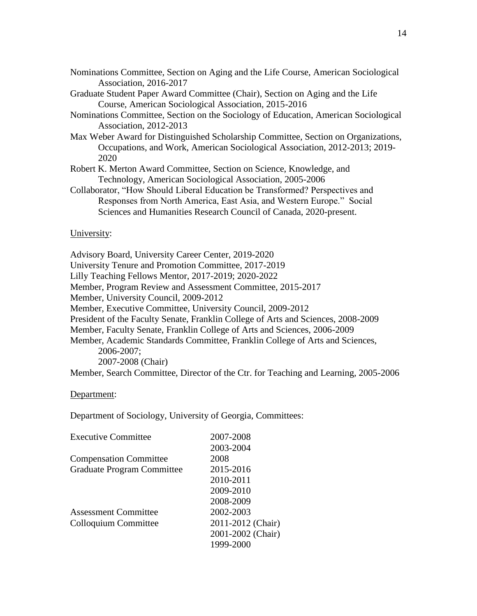| Nominations Committee, Section on Aging and the Life Course, American Sociological |  |  |  |
|------------------------------------------------------------------------------------|--|--|--|
| Association, 2016-2017                                                             |  |  |  |

Graduate Student Paper Award Committee (Chair), Section on Aging and the Life Course, American Sociological Association, 2015-2016

- Nominations Committee, Section on the Sociology of Education, American Sociological Association, 2012-2013
- Max Weber Award for Distinguished Scholarship Committee, Section on Organizations, Occupations, and Work, American Sociological Association, 2012-2013; 2019- 2020
- Robert K. Merton Award Committee, Section on Science, Knowledge, and Technology, American Sociological Association, 2005-2006
- Collaborator, "How Should Liberal Education be Transformed? Perspectives and Responses from North America, East Asia, and Western Europe." Social Sciences and Humanities Research Council of Canada, 2020-present.

## University:

Advisory Board, University Career Center, 2019-2020

University Tenure and Promotion Committee, 2017-2019

Lilly Teaching Fellows Mentor, 2017-2019; 2020-2022

Member, Program Review and Assessment Committee, 2015-2017

Member, University Council, 2009-2012

Member, Executive Committee, University Council, 2009-2012

President of the Faculty Senate, Franklin College of Arts and Sciences, 2008-2009

Member, Faculty Senate, Franklin College of Arts and Sciences, 2006-2009

Member, Academic Standards Committee, Franklin College of Arts and Sciences, 2006-2007;

2007-2008 (Chair)

Member, Search Committee, Director of the Ctr. for Teaching and Learning, 2005-2006

### Department:

Department of Sociology, University of Georgia, Committees:

| <b>Executive Committee</b>        | 2007-2008         |
|-----------------------------------|-------------------|
|                                   | 2003-2004         |
| <b>Compensation Committee</b>     | 2008              |
| <b>Graduate Program Committee</b> | 2015-2016         |
|                                   | 2010-2011         |
|                                   | 2009-2010         |
|                                   | 2008-2009         |
| <b>Assessment Committee</b>       | 2002-2003         |
| Colloquium Committee              | 2011-2012 (Chair) |
|                                   | 2001-2002 (Chair) |
|                                   | 1999-2000         |
|                                   |                   |